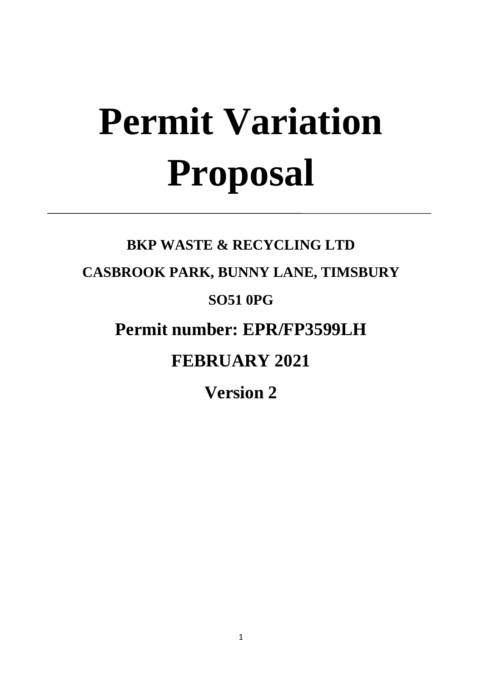# **Permit Variation Proposal**

# **BKP WASTE & RECYCLING LTD CASBROOK PARK, BUNNY LANE, TIMSBURY SO51 0PG Permit number: EPR/FP3599LH FEBRUARY 2021**

**Version 2**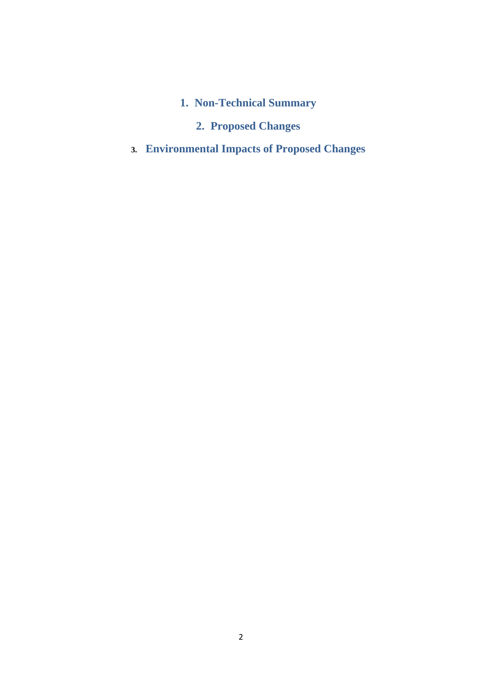**1. Non-Technical Summary**

# **2. Proposed Changes**

**3. Environmental Impacts of Proposed Changes**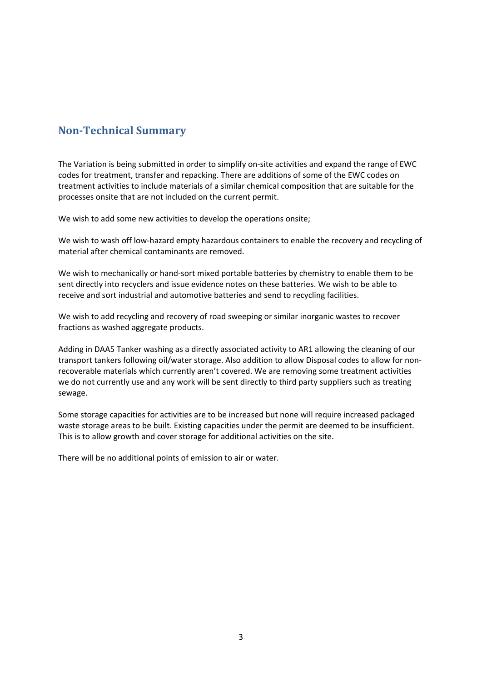# **Non-Technical Summary**

The Variation is being submitted in order to simplify on-site activities and expand the range of EWC codes for treatment, transfer and repacking. There are additions of some of the EWC codes on treatment activities to include materials of a similar chemical composition that are suitable for the processes onsite that are not included on the current permit.

We wish to add some new activities to develop the operations onsite;

We wish to wash off low-hazard empty hazardous containers to enable the recovery and recycling of material after chemical contaminants are removed.

We wish to mechanically or hand-sort mixed portable batteries by chemistry to enable them to be sent directly into recyclers and issue evidence notes on these batteries. We wish to be able to receive and sort industrial and automotive batteries and send to recycling facilities.

We wish to add recycling and recovery of road sweeping or similar inorganic wastes to recover fractions as washed aggregate products.

Adding in DAA5 Tanker washing as a directly associated activity to AR1 allowing the cleaning of our transport tankers following oil/water storage. Also addition to allow Disposal codes to allow for nonrecoverable materials which currently aren't covered. We are removing some treatment activities we do not currently use and any work will be sent directly to third party suppliers such as treating sewage.

Some storage capacities for activities are to be increased but none will require increased packaged waste storage areas to be built. Existing capacities under the permit are deemed to be insufficient. This is to allow growth and cover storage for additional activities on the site.

There will be no additional points of emission to air or water.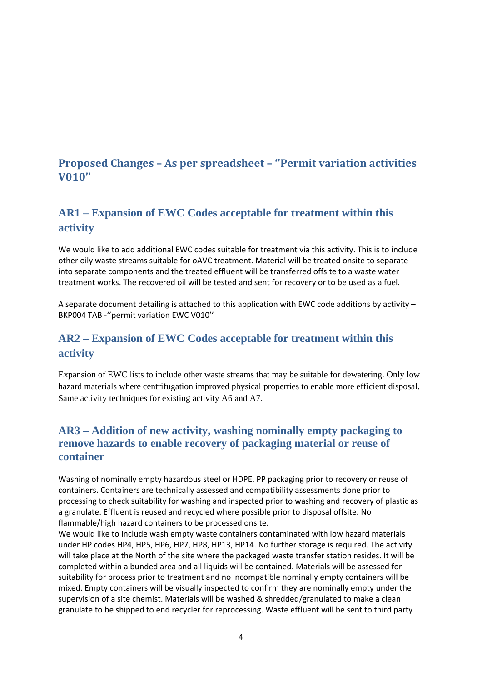# **Proposed Changes – As per spreadsheet – ''Permit variation activities V010''**

# **AR1 – Expansion of EWC Codes acceptable for treatment within this activity**

We would like to add additional EWC codes suitable for treatment via this activity. This is to include other oily waste streams suitable for oAVC treatment. Material will be treated onsite to separate into separate components and the treated effluent will be transferred offsite to a waste water treatment works. The recovered oil will be tested and sent for recovery or to be used as a fuel.

A separate document detailing is attached to this application with EWC code additions by activity – BKP004 TAB -''permit variation EWC V010''

# **AR2 – Expansion of EWC Codes acceptable for treatment within this activity**

Expansion of EWC lists to include other waste streams that may be suitable for dewatering. Only low hazard materials where centrifugation improved physical properties to enable more efficient disposal. Same activity techniques for existing activity A6 and A7.

# **AR3 – Addition of new activity, washing nominally empty packaging to remove hazards to enable recovery of packaging material or reuse of container**

Washing of nominally empty hazardous steel or HDPE, PP packaging prior to recovery or reuse of containers. Containers are technically assessed and compatibility assessments done prior to processing to check suitability for washing and inspected prior to washing and recovery of plastic as a granulate. Effluent is reused and recycled where possible prior to disposal offsite. No flammable/high hazard containers to be processed onsite.

We would like to include wash empty waste containers contaminated with low hazard materials under HP codes HP4, HP5, HP6, HP7, HP8, HP13, HP14. No further storage is required. The activity will take place at the North of the site where the packaged waste transfer station resides. It will be completed within a bunded area and all liquids will be contained. Materials will be assessed for suitability for process prior to treatment and no incompatible nominally empty containers will be mixed. Empty containers will be visually inspected to confirm they are nominally empty under the supervision of a site chemist. Materials will be washed & shredded/granulated to make a clean granulate to be shipped to end recycler for reprocessing. Waste effluent will be sent to third party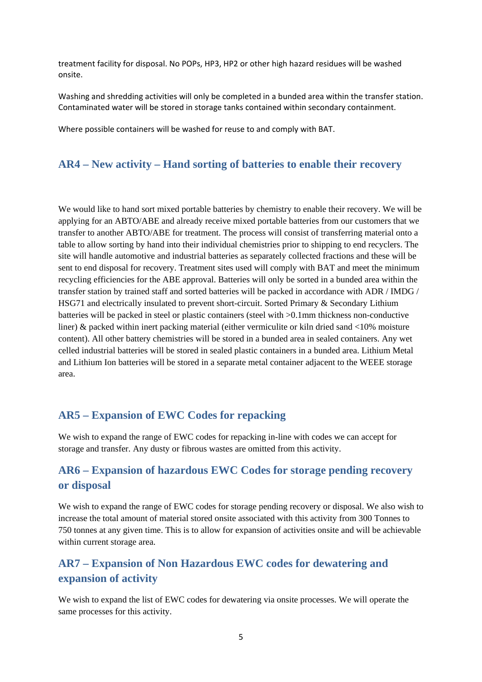treatment facility for disposal. No POPs, HP3, HP2 or other high hazard residues will be washed onsite.

Washing and shredding activities will only be completed in a bunded area within the transfer station. Contaminated water will be stored in storage tanks contained within secondary containment.

Where possible containers will be washed for reuse to and comply with BAT.

#### **AR4 – New activity – Hand sorting of batteries to enable their recovery**

We would like to hand sort mixed portable batteries by chemistry to enable their recovery. We will be applying for an ABTO/ABE and already receive mixed portable batteries from our customers that we transfer to another ABTO/ABE for treatment. The process will consist of transferring material onto a table to allow sorting by hand into their individual chemistries prior to shipping to end recyclers. The site will handle automotive and industrial batteries as separately collected fractions and these will be sent to end disposal for recovery. Treatment sites used will comply with BAT and meet the minimum recycling efficiencies for the ABE approval. Batteries will only be sorted in a bunded area within the transfer station by trained staff and sorted batteries will be packed in accordance with ADR / IMDG / HSG71 and electrically insulated to prevent short-circuit. Sorted Primary & Secondary Lithium batteries will be packed in steel or plastic containers (steel with >0.1mm thickness non-conductive liner) & packed within inert packing material (either vermiculite or kiln dried sand <10% moisture content). All other battery chemistries will be stored in a bunded area in sealed containers. Any wet celled industrial batteries will be stored in sealed plastic containers in a bunded area. Lithium Metal and Lithium Ion batteries will be stored in a separate metal container adjacent to the WEEE storage area.

#### **AR5 – Expansion of EWC Codes for repacking**

We wish to expand the range of EWC codes for repacking in-line with codes we can accept for storage and transfer. Any dusty or fibrous wastes are omitted from this activity.

# **AR6 – Expansion of hazardous EWC Codes for storage pending recovery or disposal**

We wish to expand the range of EWC codes for storage pending recovery or disposal. We also wish to increase the total amount of material stored onsite associated with this activity from 300 Tonnes to 750 tonnes at any given time. This is to allow for expansion of activities onsite and will be achievable within current storage area.

# **AR7 – Expansion of Non Hazardous EWC codes for dewatering and expansion of activity**

We wish to expand the list of EWC codes for dewatering via onsite processes. We will operate the same processes for this activity.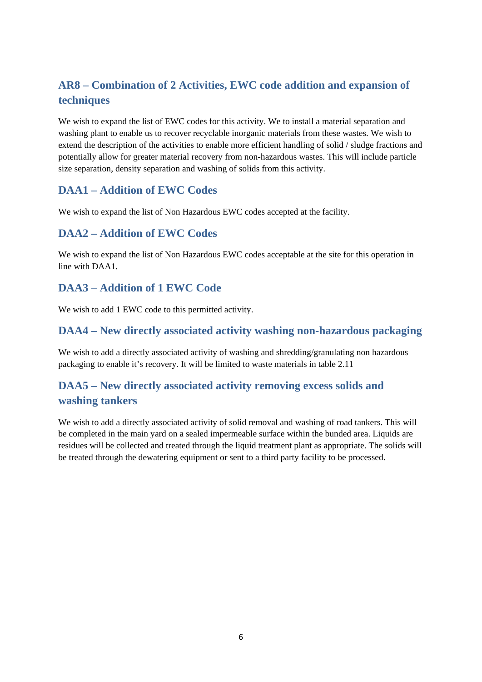# **AR8 – Combination of 2 Activities, EWC code addition and expansion of techniques**

We wish to expand the list of EWC codes for this activity. We to install a material separation and washing plant to enable us to recover recyclable inorganic materials from these wastes. We wish to extend the description of the activities to enable more efficient handling of solid / sludge fractions and potentially allow for greater material recovery from non-hazardous wastes. This will include particle size separation, density separation and washing of solids from this activity.

# **DAA1 – Addition of EWC Codes**

We wish to expand the list of Non Hazardous EWC codes accepted at the facility.

#### **DAA2 – Addition of EWC Codes**

We wish to expand the list of Non Hazardous EWC codes acceptable at the site for this operation in line with DAA1.

# **DAA3 – Addition of 1 EWC Code**

We wish to add 1 EWC code to this permitted activity.

#### **DAA4 – New directly associated activity washing non-hazardous packaging**

We wish to add a directly associated activity of washing and shredding/granulating non hazardous packaging to enable it's recovery. It will be limited to waste materials in table 2.11

# **DAA5 – New directly associated activity removing excess solids and washing tankers**

We wish to add a directly associated activity of solid removal and washing of road tankers. This will be completed in the main yard on a sealed impermeable surface within the bunded area. Liquids are residues will be collected and treated through the liquid treatment plant as appropriate. The solids will be treated through the dewatering equipment or sent to a third party facility to be processed.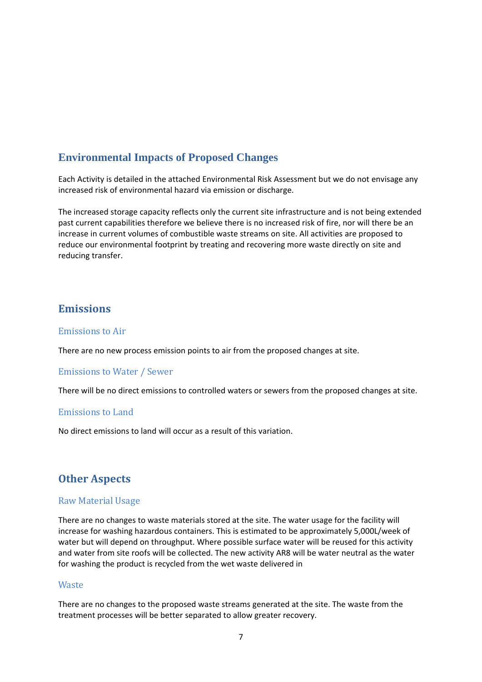# **Environmental Impacts of Proposed Changes**

Each Activity is detailed in the attached Environmental Risk Assessment but we do not envisage any increased risk of environmental hazard via emission or discharge.

The increased storage capacity reflects only the current site infrastructure and is not being extended past current capabilities therefore we believe there is no increased risk of fire, nor will there be an increase in current volumes of combustible waste streams on site. All activities are proposed to reduce our environmental footprint by treating and recovering more waste directly on site and reducing transfer.

#### **Emissions**

#### Emissions to Air

There are no new process emission points to air from the proposed changes at site.

#### Emissions to Water / Sewer

There will be no direct emissions to controlled waters or sewers from the proposed changes at site.

#### Emissions to Land

No direct emissions to land will occur as a result of this variation.

#### **Other Aspects**

#### Raw Material Usage

There are no changes to waste materials stored at the site. The water usage for the facility will increase for washing hazardous containers. This is estimated to be approximately 5,000L/week of water but will depend on throughput. Where possible surface water will be reused for this activity and water from site roofs will be collected. The new activity AR8 will be water neutral as the water for washing the product is recycled from the wet waste delivered in

#### **Waste**

There are no changes to the proposed waste streams generated at the site. The waste from the treatment processes will be better separated to allow greater recovery.